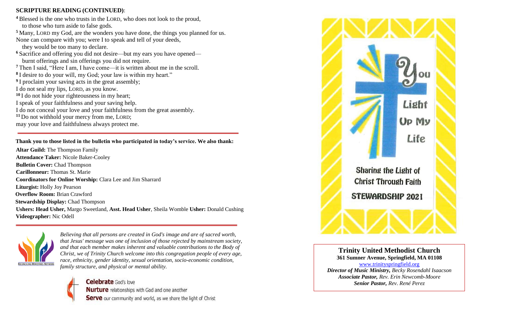### **SCRIPTURE READING (CONTINUED)**:

**<sup>4</sup>** Blessed is the one who trusts in the LORD, who does not look to the proud, to those who turn aside to false gods. **<sup>5</sup>** Many, LORD my God, are the wonders you have done, the things you planned for us. None can compare with you; were I to speak and tell of your deeds, they would be too many to declare. **<sup>6</sup>** Sacrifice and offering you did not desire—but my ears you have opened burnt offerings and sin offerings you did not require. **<sup>7</sup>** Then I said, "Here I am, I have come—it is written about me in the scroll. **8** I desire to do your will, my God; your law is within my heart." <sup>9</sup>I proclaim your saving acts in the great assembly; I do not seal my lips, LORD, as you know. **<sup>10</sup>** I do not hide your righteousness in my heart; I speak of your faithfulness and your saving help. I do not conceal your love and your faithfulness from the great assembly. **<sup>11</sup>** Do not withhold your mercy from me, LORD; may your love and faithfulness always protect me.

 **Thank you to those listed in the bulletin who participated in today's service. We also thank:**

**Altar Guild:** The Thompson Family **Attendance Taker:** Nicole Baker-Cooley **Bulletin Cover:** Chad Thompson **Carillonneur:** Thomas St. Marie  **Coordinators for Online Worship:** Clara Lee and Jim Sharrard **Liturgist:** Holly Joy Pearson  **Overflow Room:** Brian Crawford **Stewardship Display:** Chad Thompson **Ushers: Head Usher,** Margo Sweetland, **Asst. Head Usher**, Sheila Womble **Usher:** Donald Cushing  **Videographer:** Nic Odell



*Believing that all persons are created in God's image and are of sacred worth, that Jesus' message was one of inclusion of those rejected by mainstream society, and that each member makes inherent and valuable contributions to the Body of Christ, we of Trinity Church welcome into this congregation people of every age, race, ethnicity, gender identity, sexual orientation, socio-economic condition, family structure, and physical or mental ability.*





**Trinity United Methodist Church 361 Sumner Avenue, Springfield, MA 01108** [www.trinityspringfield.org](http://www.trinityspringfield.org/) *Director of Music Ministry, Becky Rosendahl Isaacson Associate Pastor, Rev. Erin Newcomb-Moore Senior Pastor, Rev. René Perez*